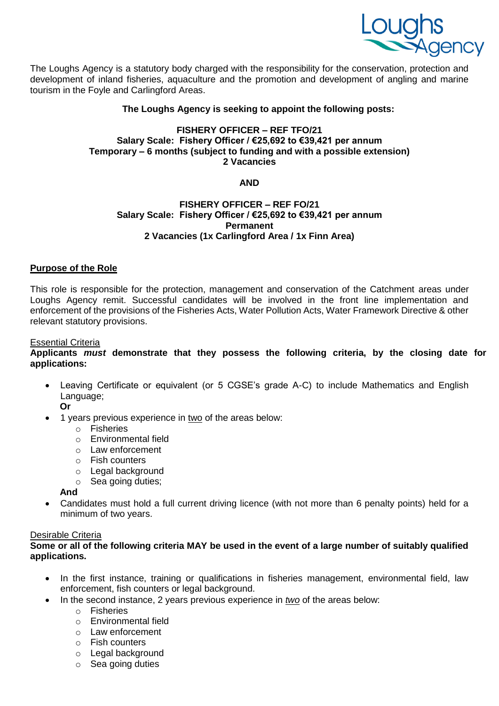

The Loughs Agency is a statutory body charged with the responsibility for the conservation, protection and development of inland fisheries, aquaculture and the promotion and development of angling and marine tourism in the Foyle and Carlingford Areas.

#### **The Loughs Agency is seeking to appoint the following posts:**

#### **FISHERY OFFICER – REF TFO/21 Salary Scale: Fishery Officer / €25,692 to €39,421 per annum Temporary – 6 months (subject to funding and with a possible extension) 2 Vacancies**

# **AND**

# **FISHERY OFFICER – REF FO/21 Salary Scale: Fishery Officer / €25,692 to €39,421 per annum Permanent 2 Vacancies (1x Carlingford Area / 1x Finn Area)**

# **Purpose of the Role**

This role is responsible for the protection, management and conservation of the Catchment areas under Loughs Agency remit. Successful candidates will be involved in the front line implementation and enforcement of the provisions of the Fisheries Acts, Water Pollution Acts, Water Framework Directive & other relevant statutory provisions.

#### Essential Criteria

# **Applicants** *must* **demonstrate that they possess the following criteria, by the closing date for applications:**

- Leaving Certificate or equivalent (or 5 CGSE's grade A-C) to include Mathematics and English Language;
	- **Or** 1 years previous experience in two of the areas below:
		- o Fisheries
		- o Environmental field
		- o Law enforcement
		- o Fish counters
		- o Legal background
		- o Sea going duties;

# **And**

 Candidates must hold a full current driving licence (with not more than 6 penalty points) held for a minimum of two years.

# Desirable Criteria

# **Some or all of the following criteria MAY be used in the event of a large number of suitably qualified applications.**

- In the first instance, training or qualifications in fisheries management, environmental field, law enforcement, fish counters or legal background.
	- In the second instance, 2 years previous experience in *two* of the areas below:
		- o Fisheries
		- o Environmental field
		- o Law enforcement
		- o Fish counters
		- o Legal background
		- o Sea going duties